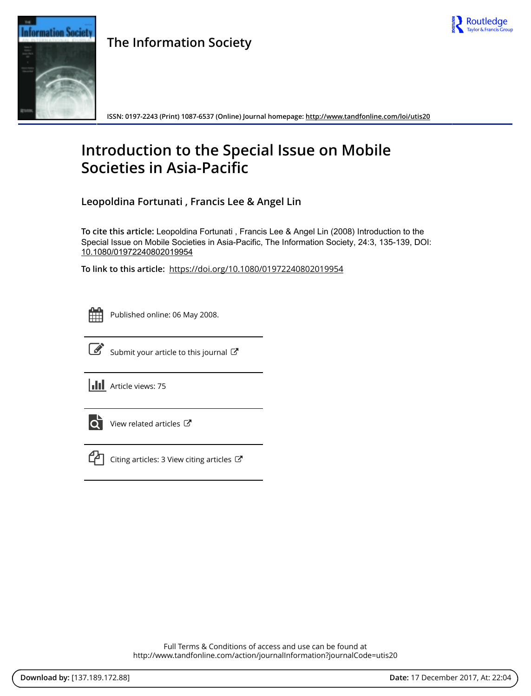

# nformation Society

**The Information Society**

**ISSN: 0197-2243 (Print) 1087-6537 (Online) Journal homepage:<http://www.tandfonline.com/loi/utis20>**

# **Introduction to the Special Issue on Mobile Societies in Asia-Pacific**

**Leopoldina Fortunati , Francis Lee & Angel Lin**

**To cite this article:** Leopoldina Fortunati , Francis Lee & Angel Lin (2008) Introduction to the Special Issue on Mobile Societies in Asia-Pacific, The Information Society, 24:3, 135-139, DOI: [10.1080/01972240802019954](http://www.tandfonline.com/action/showCitFormats?doi=10.1080/01972240802019954)

**To link to this article:** <https://doi.org/10.1080/01972240802019954>

|  | -- |  |
|--|----|--|
|  |    |  |
|  |    |  |
|  |    |  |

Published online: 06 May 2008.



 $\overrightarrow{S}$  [Submit your article to this journal](http://www.tandfonline.com/action/authorSubmission?journalCode=utis20&show=instructions)  $G$ 

**III** Article views: 75



 $\overline{Q}$  [View related articles](http://www.tandfonline.com/doi/mlt/10.1080/01972240802019954)  $\overline{C}$ 



 $\mathbb{C}$  [Citing articles: 3 View citing articles](http://www.tandfonline.com/doi/citedby/10.1080/01972240802019954#tabModule)  $\mathbb{C}$ 

Full Terms & Conditions of access and use can be found at <http://www.tandfonline.com/action/journalInformation?journalCode=utis20>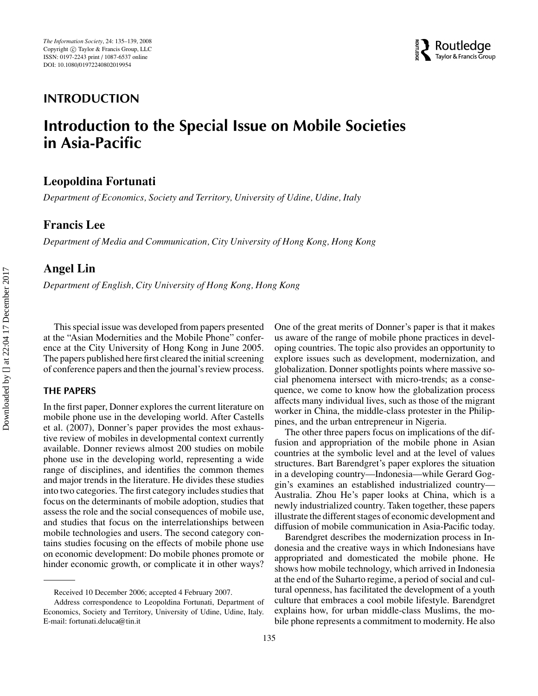

### **INTRODUCTION**

## **Introduction to the Special Issue on Mobile Societies in Asia-Pacific**

### **Leopoldina Fortunati**

*Department of Economics, Society and Territory, University of Udine, Udine, Italy*

### **Francis Lee**

*Department of Media and Communication, City University of Hong Kong, Hong Kong*

### **Angel Lin**

*Department of English, City University of Hong Kong, Hong Kong*

This special issue was developed from papers presented at the "Asian Modernities and the Mobile Phone" conference at the City University of Hong Kong in June 2005. The papers published here first cleared the initial screening of conference papers and then the journal's review process.

### **THE PAPERS**

In the first paper, Donner explores the current literature on mobile phone use in the developing world. After Castells et al. (2007), Donner's paper provides the most exhaustive review of mobiles in developmental context currently available. Donner reviews almost 200 studies on mobile phone use in the developing world, representing a wide range of disciplines, and identifies the common themes and major trends in the literature. He divides these studies into two categories. The first category includes studies that focus on the determinants of mobile adoption, studies that assess the role and the social consequences of mobile use, and studies that focus on the interrelationships between mobile technologies and users. The second category contains studies focusing on the effects of mobile phone use on economic development: Do mobile phones promote or hinder economic growth, or complicate it in other ways? One of the great merits of Donner's paper is that it makes us aware of the range of mobile phone practices in developing countries. The topic also provides an opportunity to explore issues such as development, modernization, and globalization. Donner spotlights points where massive social phenomena intersect with micro-trends; as a consequence, we come to know how the globalization process affects many individual lives, such as those of the migrant worker in China, the middle-class protester in the Philippines, and the urban entrepreneur in Nigeria.

The other three papers focus on implications of the diffusion and appropriation of the mobile phone in Asian countries at the symbolic level and at the level of values structures. Bart Barendgret's paper explores the situation in a developing country—Indonesia—while Gerard Goggin's examines an established industrialized country— Australia. Zhou He's paper looks at China, which is a newly industrialized country. Taken together, these papers illustrate the different stages of economic development and diffusion of mobile communication in Asia-Pacific today.

Barendgret describes the modernization process in Indonesia and the creative ways in which Indonesians have appropriated and domesticated the mobile phone. He shows how mobile technology, which arrived in Indonesia at the end of the Suharto regime, a period of social and cultural openness, has facilitated the development of a youth culture that embraces a cool mobile lifestyle. Barendgret explains how, for urban middle-class Muslims, the mobile phone represents a commitment to modernity. He also

Received 10 December 2006; accepted 4 February 2007.

Address correspondence to Leopoldina Fortunati, Department of Economics, Society and Territory, University of Udine, Udine, Italy. E-mail: fortunati.deluca@tin.it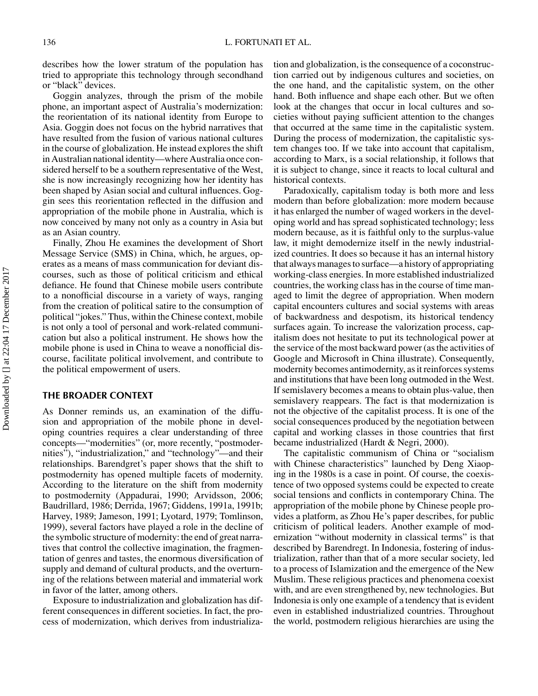describes how the lower stratum of the population has tried to appropriate this technology through secondhand or "black" devices.

Goggin analyzes, through the prism of the mobile phone, an important aspect of Australia's modernization: the reorientation of its national identity from Europe to Asia. Goggin does not focus on the hybrid narratives that have resulted from the fusion of various national cultures in the course of globalization. He instead explores the shift in Australian national identity—where Australia once considered herself to be a southern representative of the West, she is now increasingly recognizing how her identity has been shaped by Asian social and cultural influences. Goggin sees this reorientation reflected in the diffusion and appropriation of the mobile phone in Australia, which is now conceived by many not only as a country in Asia but as an Asian country.

Finally, Zhou He examines the development of Short Message Service (SMS) in China, which, he argues, operates as a means of mass communication for deviant discourses, such as those of political criticism and ethical defiance. He found that Chinese mobile users contribute to a nonofficial discourse in a variety of ways, ranging from the creation of political satire to the consumption of political "jokes." Thus, within the Chinese context, mobile is not only a tool of personal and work-related communication but also a political instrument. He shows how the mobile phone is used in China to weave a nonofficial discourse, facilitate political involvement, and contribute to the political empowerment of users.

### **THE BROADER CONTEXT**

As Donner reminds us, an examination of the diffusion and appropriation of the mobile phone in developing countries requires a clear understanding of three concepts—"modernities" (or, more recently, "postmodernities"), "industrialization," and "technology"—and their relationships. Barendgret's paper shows that the shift to postmodernity has opened multiple facets of modernity. According to the literature on the shift from modernity to postmodernity (Appadurai, 1990; Arvidsson, 2006; Baudrillard, 1986; Derrida, 1967; Giddens, 1991a, 1991b; Harvey, 1989; Jameson, 1991; Lyotard, 1979; Tomlinson, 1999), several factors have played a role in the decline of the symbolic structure of modernity: the end of great narratives that control the collective imagination, the fragmentation of genres and tastes, the enormous diversification of supply and demand of cultural products, and the overturning of the relations between material and immaterial work in favor of the latter, among others.

Exposure to industrialization and globalization has different consequences in different societies. In fact, the process of modernization, which derives from industrializa-

tion and globalization, is the consequence of a coconstruction carried out by indigenous cultures and societies, on the one hand, and the capitalistic system, on the other hand. Both influence and shape each other. But we often look at the changes that occur in local cultures and societies without paying sufficient attention to the changes that occurred at the same time in the capitalistic system. During the process of modernization, the capitalistic system changes too. If we take into account that capitalism, according to Marx, is a social relationship, it follows that it is subject to change, since it reacts to local cultural and historical contexts.

Paradoxically, capitalism today is both more and less modern than before globalization: more modern because it has enlarged the number of waged workers in the developing world and has spread sophisticated technology; less modern because, as it is faithful only to the surplus-value law, it might demodernize itself in the newly industrialized countries. It does so because it has an internal history that always manages to surface—a history of appropriating working-class energies. In more established industrialized countries, the working class has in the course of time managed to limit the degree of appropriation. When modern capital encounters cultures and social systems with areas of backwardness and despotism, its historical tendency surfaces again. To increase the valorization process, capitalism does not hesitate to put its technological power at the service of the most backward power (as the activities of Google and Microsoft in China illustrate). Consequently, modernity becomes antimodernity, as it reinforces systems and institutions that have been long outmoded in the West. If semislavery becomes a means to obtain plus-value, then semislavery reappears. The fact is that modernization is not the objective of the capitalist process. It is one of the social consequences produced by the negotiation between capital and working classes in those countries that first became industrialized (Hardt & Negri, 2000).

The capitalistic communism of China or "socialism with Chinese characteristics" launched by Deng Xiaoping in the 1980s is a case in point. Of course, the coexistence of two opposed systems could be expected to create social tensions and conflicts in contemporary China. The appropriation of the mobile phone by Chinese people provides a platform, as Zhou He's paper describes, for public criticism of political leaders. Another example of modernization "without modernity in classical terms" is that described by Barendregt. In Indonesia, fostering of industrialization, rather than that of a more secular society, led to a process of Islamization and the emergence of the New Muslim. These religious practices and phenomena coexist with, and are even strengthened by, new technologies. But Indonesia is only one example of a tendency that is evident even in established industrialized countries. Throughout the world, postmodern religious hierarchies are using the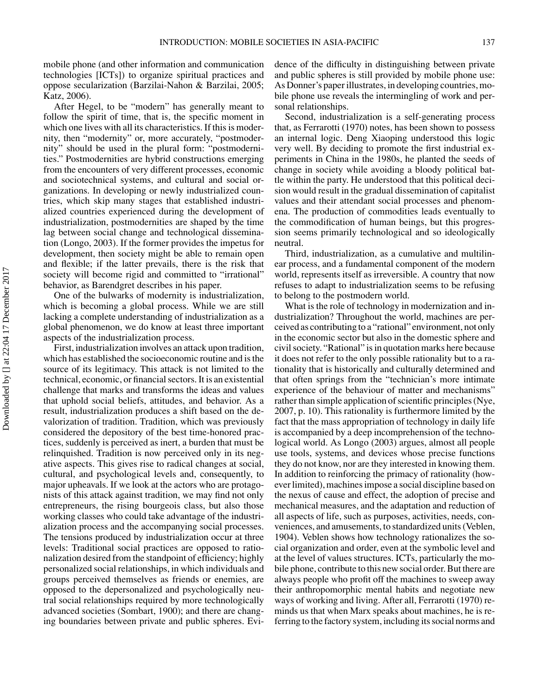mobile phone (and other information and communication technologies [ICTs]) to organize spiritual practices and oppose secularization (Barzilai-Nahon & Barzilai, 2005; Katz, 2006).

After Hegel, to be "modern" has generally meant to follow the spirit of time, that is, the specific moment in which one lives with all its characteristics. If this is modernity, then "modernity" or, more accurately, "postmodernity" should be used in the plural form: "postmodernities." Postmodernities are hybrid constructions emerging from the encounters of very different processes, economic and sociotechnical systems, and cultural and social organizations. In developing or newly industrialized countries, which skip many stages that established industrialized countries experienced during the development of industrialization, postmodernities are shaped by the time lag between social change and technological dissemination (Longo, 2003). If the former provides the impetus for development, then society might be able to remain open and flexible; if the latter prevails, there is the risk that society will become rigid and committed to "irrational" behavior, as Barendgret describes in his paper.

One of the bulwarks of modernity is industrialization, which is becoming a global process. While we are still lacking a complete understanding of industrialization as a global phenomenon, we do know at least three important aspects of the industrialization process.

First, industrialization involves an attack upon tradition, which has established the socioeconomic routine and is the source of its legitimacy. This attack is not limited to the technical, economic, or financial sectors. It is an existential challenge that marks and transforms the ideas and values that uphold social beliefs, attitudes, and behavior. As a result, industrialization produces a shift based on the devalorization of tradition. Tradition, which was previously considered the depository of the best time-honored practices, suddenly is perceived as inert, a burden that must be relinquished. Tradition is now perceived only in its negative aspects. This gives rise to radical changes at social, cultural, and psychological levels and, consequently, to major upheavals. If we look at the actors who are protagonists of this attack against tradition, we may find not only entrepreneurs, the rising bourgeois class, but also those working classes who could take advantage of the industrialization process and the accompanying social processes. The tensions produced by industrialization occur at three levels: Traditional social practices are opposed to rationalization desired from the standpoint of efficiency; highly personalized social relationships, in which individuals and groups perceived themselves as friends or enemies, are opposed to the depersonalized and psychologically neutral social relationships required by more technologically advanced societies (Sombart, 1900); and there are changing boundaries between private and public spheres. Evidence of the difficulty in distinguishing between private and public spheres is still provided by mobile phone use: As Donner's paper illustrates, in developing countries, mobile phone use reveals the intermingling of work and personal relationships.

Second, industrialization is a self-generating process that, as Ferrarotti (1970) notes, has been shown to possess an internal logic. Deng Xiaoping understood this logic very well. By deciding to promote the first industrial experiments in China in the 1980s, he planted the seeds of change in society while avoiding a bloody political battle within the party. He understood that this political decision would result in the gradual dissemination of capitalist values and their attendant social processes and phenomena. The production of commodities leads eventually to the commodification of human beings, but this progression seems primarily technological and so ideologically neutral.

Third, industrialization, as a cumulative and multilinear process, and a fundamental component of the modern world, represents itself as irreversible. A country that now refuses to adapt to industrialization seems to be refusing to belong to the postmodern world.

What is the role of technology in modernization and industrialization? Throughout the world, machines are perceived as contributing to a "rational" environment, not only in the economic sector but also in the domestic sphere and civil society. "Rational" is in quotation marks here because it does not refer to the only possible rationality but to a rationality that is historically and culturally determined and that often springs from the "technician's more intimate experience of the behaviour of matter and mechanisms" rather than simple application of scientific principles (Nye, 2007, p. 10). This rationality is furthermore limited by the fact that the mass appropriation of technology in daily life is accompanied by a deep incomprehension of the technological world. As Longo (2003) argues, almost all people use tools, systems, and devices whose precise functions they do not know, nor are they interested in knowing them. In addition to reinforcing the primacy of rationality (however limited), machines impose a social discipline based on the nexus of cause and effect, the adoption of precise and mechanical measures, and the adaptation and reduction of all aspects of life, such as purposes, activities, needs, conveniences, and amusements, to standardized units (Veblen, 1904). Veblen shows how technology rationalizes the social organization and order, even at the symbolic level and at the level of values structures. ICTs, particularly the mobile phone, contribute to this new social order. But there are always people who profit off the machines to sweep away their anthropomorphic mental habits and negotiate new ways of working and living. After all, Ferrarotti (1970) reminds us that when Marx speaks about machines, he is referring to the factory system, including its social norms and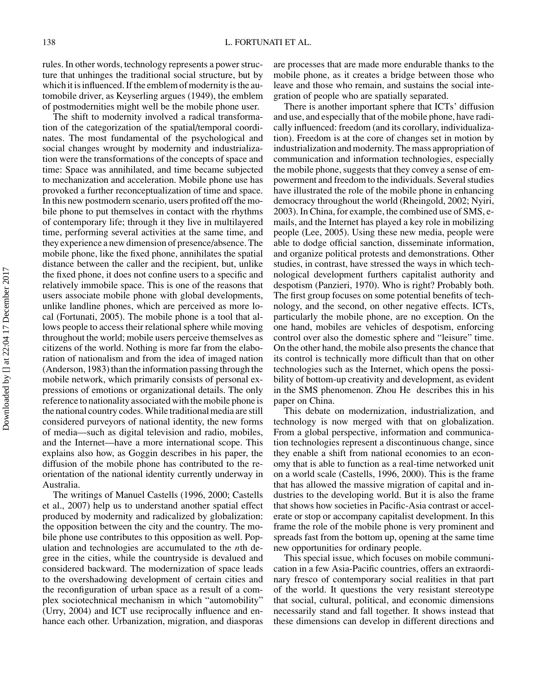rules. In other words, technology represents a power structure that unhinges the traditional social structure, but by which it is influenced. If the emblem of modernity is the automobile driver, as Keyserling argues (1949), the emblem of postmodernities might well be the mobile phone user.

The shift to modernity involved a radical transformation of the categorization of the spatial/temporal coordinates. The most fundamental of the psychological and social changes wrought by modernity and industrialization were the transformations of the concepts of space and time: Space was annihilated, and time became subjected to mechanization and acceleration. Mobile phone use has provoked a further reconceptualization of time and space. In this new postmodern scenario, users profited off the mobile phone to put themselves in contact with the rhythms of contemporary life; through it they live in multilayered time, performing several activities at the same time, and they experience a new dimension of presence/absence. The mobile phone, like the fixed phone, annihilates the spatial distance between the caller and the recipient, but, unlike the fixed phone, it does not confine users to a specific and relatively immobile space. This is one of the reasons that users associate mobile phone with global developments, unlike landline phones, which are perceived as more local (Fortunati, 2005). The mobile phone is a tool that allows people to access their relational sphere while moving throughout the world; mobile users perceive themselves as citizens of the world. Nothing is more far from the elaboration of nationalism and from the idea of imaged nation (Anderson, 1983) than the information passing through the mobile network, which primarily consists of personal expressions of emotions or organizational details. The only reference to nationality associated with the mobile phone is the national country codes. While traditional media are still considered purveyors of national identity, the new forms of media—such as digital television and radio, mobiles, and the Internet—have a more international scope. This explains also how, as Goggin describes in his paper, the diffusion of the mobile phone has contributed to the reorientation of the national identity currently underway in Australia.

The writings of Manuel Castells (1996, 2000; Castells et al., 2007) help us to understand another spatial effect produced by modernity and radicalized by globalization: the opposition between the city and the country. The mobile phone use contributes to this opposition as well. Population and technologies are accumulated to the *n*th degree in the cities, while the countryside is devalued and considered backward. The modernization of space leads to the overshadowing development of certain cities and the reconfiguration of urban space as a result of a complex sociotechnical mechanism in which "automobility" (Urry, 2004) and ICT use reciprocally influence and enhance each other. Urbanization, migration, and diasporas

are processes that are made more endurable thanks to the mobile phone, as it creates a bridge between those who leave and those who remain, and sustains the social integration of people who are spatially separated.

There is another important sphere that ICTs' diffusion and use, and especially that of the mobile phone, have radically influenced: freedom (and its corollary, individualization). Freedom is at the core of changes set in motion by industrialization and modernity. The mass appropriation of communication and information technologies, especially the mobile phone, suggests that they convey a sense of empowerment and freedom to the individuals. Several studies have illustrated the role of the mobile phone in enhancing democracy throughout the world (Rheingold, 2002; Nyiri, 2003). In China, for example, the combined use of SMS, emails, and the Internet has played a key role in mobilizing people (Lee, 2005). Using these new media, people were able to dodge official sanction, disseminate information, and organize political protests and demonstrations. Other studies, in contrast, have stressed the ways in which technological development furthers capitalist authority and despotism (Panzieri, 1970). Who is right? Probably both. The first group focuses on some potential benefits of technology, and the second, on other negative effects. ICTs, particularly the mobile phone, are no exception. On the one hand, mobiles are vehicles of despotism, enforcing control over also the domestic sphere and "leisure" time. On the other hand, the mobile also presents the chance that its control is technically more difficult than that on other technologies such as the Internet, which opens the possibility of bottom-up creativity and development, as evident in the SMS phenomenon. Zhou He describes this in his paper on China.

This debate on modernization, industrialization, and technology is now merged with that on globalization. From a global perspective, information and communication technologies represent a discontinuous change, since they enable a shift from national economies to an economy that is able to function as a real-time networked unit on a world scale (Castells, 1996, 2000). This is the frame that has allowed the massive migration of capital and industries to the developing world. But it is also the frame that shows how societies in Pacific-Asia contrast or accelerate or stop or accompany capitalist development. In this frame the role of the mobile phone is very prominent and spreads fast from the bottom up, opening at the same time new opportunities for ordinary people.

This special issue, which focuses on mobile communication in a few Asia-Pacific countries, offers an extraordinary fresco of contemporary social realities in that part of the world. It questions the very resistant stereotype that social, cultural, political, and economic dimensions necessarily stand and fall together. It shows instead that these dimensions can develop in different directions and